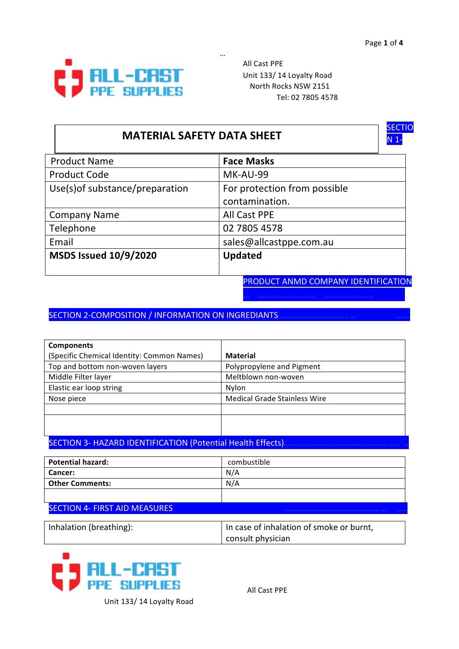

**All Cast PPE** Unit 133/ 14 Loyalty Road North Rocks NSW 2151 Tel: 02 7805 4578

## **MATERIAL SAFETY DATA SHEET**

… 



| <b>Product Name</b>             | <b>Face Masks</b>            |
|---------------------------------|------------------------------|
| <b>Product Code</b>             | MK-AU-99                     |
| Use(s) of substance/preparation | For protection from possible |
|                                 | contamination.               |
| <b>Company Name</b>             | <b>All Cast PPE</b>          |
| Telephone                       | 02 7805 4578                 |
| Email                           | sales@allcastppe.com.au      |
| <b>MSDS Issued 10/9/2020</b>    | <b>Updated</b>               |
|                                 |                              |

PRODUCT ANMD COMPANY IDENTIFICATION

SECTION 2-COMPOSITION / INFORMATION ON INGREDIANTS

| <b>Components</b>                          |                                     |
|--------------------------------------------|-------------------------------------|
| (Specific Chemical Identity: Common Names) | <b>Material</b>                     |
| Top and bottom non-woven layers            | Polypropylene and Pigment           |
| Middle Filter layer                        | Meltblown non-woven                 |
| Elastic ear loop string                    | Nylon                               |
| Nose piece                                 | <b>Medical Grade Stainless Wire</b> |
|                                            |                                     |
|                                            |                                     |
|                                            |                                     |

SECTION 3- HAZARD IDENTIFICATION (Potential Health Effects)

| <b>Potential hazard:</b> | combustible |
|--------------------------|-------------|
| <b>Cancer:</b>           | N/A         |
| <b>Other Comments:</b>   | N/A         |
|                          |             |

#### SECTION 4- FIRST AID MEASURES

| Inhalation (breathing): | In case of inhalation of smoke or burnt, |
|-------------------------|------------------------------------------|
|                         | consult physician                        |



**All Cast PPE** 

Unit 133/ 14 Loyalty Road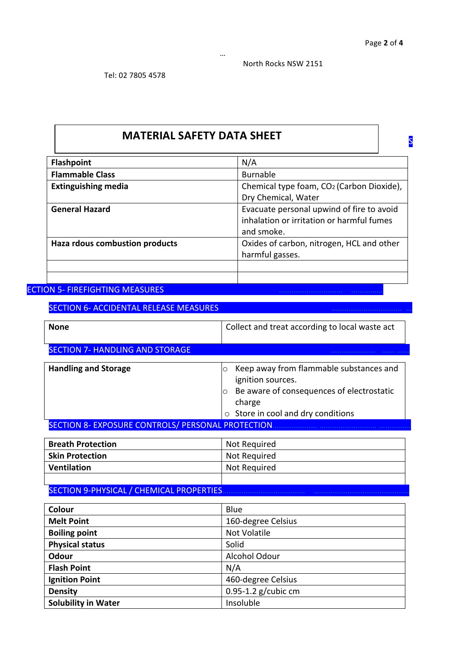S

North Rocks NSW 2151

# **MATERIAL SAFETY DATA SHEET**

… 

| <b>Flashpoint</b>              | N/A                                       |
|--------------------------------|-------------------------------------------|
| <b>Flammable Class</b>         | <b>Burnable</b>                           |
| <b>Extinguishing media</b>     | Chemical type foam, CO2 (Carbon Dioxide), |
|                                | Dry Chemical, Water                       |
| <b>General Hazard</b>          | Evacuate personal upwind of fire to avoid |
|                                | inhalation or irritation or harmful fumes |
|                                | and smoke.                                |
| Haza rdous combustion products | Oxides of carbon, nitrogen, HCL and other |
|                                | harmful gasses.                           |
|                                |                                           |
|                                |                                           |

### ECTION 5- FIREFIGHTING MEASURES

SECTION 6- ACCIDENTAL RELEASE MEASURES

| <b>None</b>                                        | Collect and treat according to local waste act                                                                                                                     |
|----------------------------------------------------|--------------------------------------------------------------------------------------------------------------------------------------------------------------------|
| <b>SECTION 7- HANDLING AND STORAGE</b>             |                                                                                                                                                                    |
| <b>Handling and Storage</b>                        | Keep away from flammable substances and<br>ignition sources.<br>Be aware of consequences of electrostatic<br>charge<br>Store in cool and dry conditions<br>$\circ$ |
| SECTION 8- EXPOSURE CONTROLS/ PERSONAL PROTECTION. |                                                                                                                                                                    |
|                                                    |                                                                                                                                                                    |

| <b>Breath Protection</b> | Not Required |
|--------------------------|--------------|
| <b>Skin Protection</b>   | Not Required |
| Ventilation              | Not Required |
|                          |              |

### SECTION 9-PHYSICAL / CHEMICAL PROPERTIES

| Colour                     | Blue                    |
|----------------------------|-------------------------|
| <b>Melt Point</b>          | 160-degree Celsius      |
| <b>Boiling point</b>       | <b>Not Volatile</b>     |
| <b>Physical status</b>     | Solid                   |
| Odour                      | Alcohol Odour           |
| <b>Flash Point</b>         | N/A                     |
| <b>Ignition Point</b>      | 460-degree Celsius      |
| <b>Density</b>             | $0.95 - 1.2$ g/cubic cm |
| <b>Solubility in Water</b> | Insoluble               |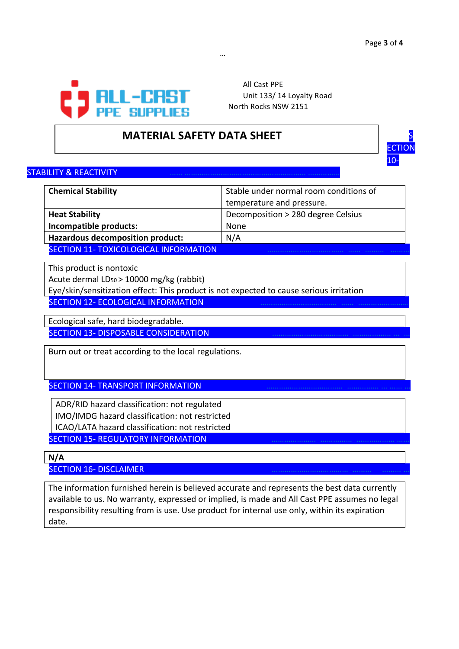

**All Cast PPE** Unit 133/ 14 Loyalty Road North Rocks NSW 2151

## **MATERIAL SAFETY DATA SHEET**



#### STABILITY & REACTIVITY

| <b>Chemical Stability</b>                    | Stable under normal room conditions of |
|----------------------------------------------|----------------------------------------|
|                                              | temperature and pressure.              |
| <b>Heat Stability</b>                        | Decomposition > 280 degree Celsius     |
| Incompatible products:                       | None                                   |
| Hazardous decomposition product:             | N/A                                    |
| <b>SECTION 11- TOXICOLOGICAL INFORMATION</b> |                                        |

… 

This product is nontoxic

Acute dermal LD<sub>50</sub> > 10000 mg/kg (rabbit)

Eye/skin/sensitization effect: This product is not expected to cause serious irritation

SECTION 12- ECOLOGICAL INFORMATION

Ecological safe, hard biodegradable.

SECTION 13- DISPOSABLE CONSIDERATION

Burn out or treat according to the local regulations.

SECTION 14- TRANSPORT INFORMATION

ADR/RID hazard classification: not regulated IMO/IMDG hazard classification: not restricted ICAO/LATA hazard classification: not restricted

SECTION 15- REGULATORY INFORMATION

**N/A**

SECTION 16- DISCLAIMER

The information furnished herein is believed accurate and represents the best data currently available to us. No warranty, expressed or implied, is made and All Cast PPE assumes no legal responsibility resulting from is use. Use product for internal use only, within its expiration date.